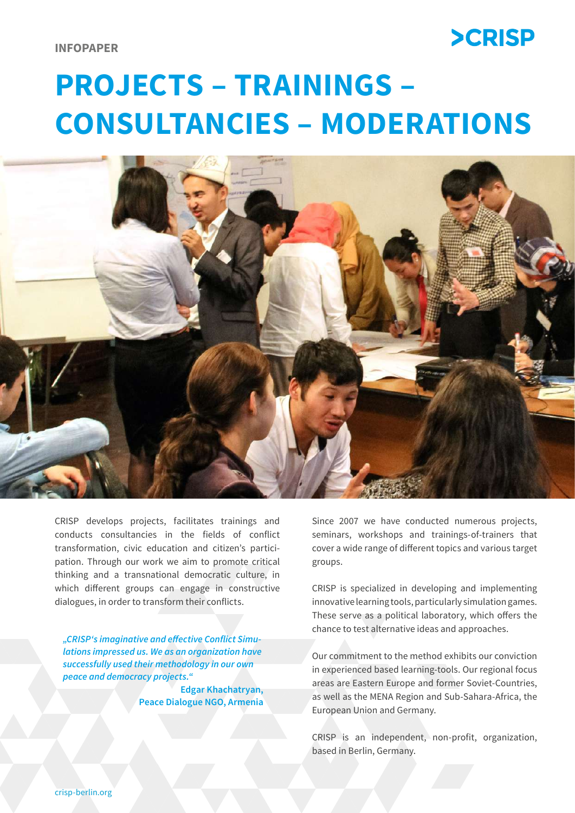# **>CRISP**

# **PROJECTS – TRAININGS – CONSULTANCIES – MODERATIONS**



CRISP develops projects, facilitates trainings and conducts consultancies in the fields of conflict transformation, civic education and citizen's participation. Through our work we aim to promote critical thinking and a transnational democratic culture, in which different groups can engage in constructive dialogues, in order to transform their conflicts.

**"CRISP's imaginative and effective Conflict Simu****lations impressed us. We as an organization have successfully used their methodology in our own peace and democracy projects."**

**Edgar Khachatryan, Peace Dialogue NGO, Armenia**

Since 2007 we have conducted numerous projects, seminars, workshops and trainings-of-trainers that cover a wide range of different topics and various target groups.

CRISP is specialized in developing and implementing innovative learning tools, particularly simulation games. These serve as a political laboratory, which offers the chance to test alternative ideas and approaches.

Our commitment to the method exhibits our conviction in experienced based learning-tools. Our regional focus areas are Eastern Europe and former Soviet-Countries, as well as the MENA Region and Sub-Sahara-Africa, the European Union and Germany.

CRISP is an independent, non-profit, organization, based in Berlin, Germany.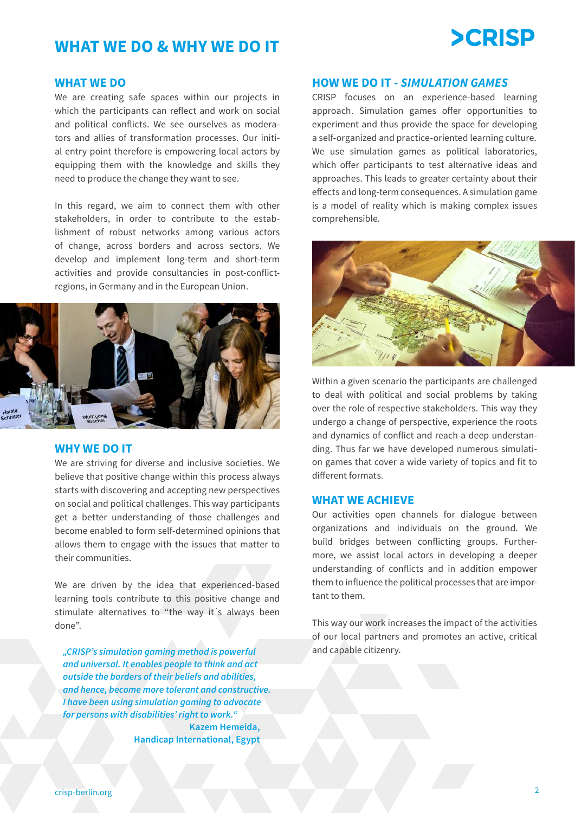### **WHAT WE DO & WHY WE DO IT**

## **>CRISP**

#### **WHAT WE DO**

We are creating safe spaces within our projects in which the participants can reflect and work on social and political conflicts. We see ourselves as moderators and allies of transformation processes. Our initial entry point therefore is empowering local actors by equipping them with the knowledge and skills they need to produce the change they want to see.

In this regard, we aim to connect them with other stakeholders, in order to contribute to the establishment of robust networks among various actors of change, across borders and across sectors. We develop and implement long-term and short-term activities and provide consultancies in post-conflictregions, in Germany and in the European Union.



#### **WHY WE DO IT**

We are striving for diverse and inclusive societies. We believe that positive change within this process always starts with discovering and accepting new perspectives on social and political challenges. This way participants get a better understanding of those challenges and become enabled to form self-determined opinions that allows them to engage with the issues that matter to their communities.

We are driven by the idea that experienced-based learning tools contribute to this positive change and stimulate alternatives to "the way it´s always been done".

and capable citizenry. **"CRISP's simulation gaming method is powerful and universal. It enables people to think and act outside the borders of their beliefs and abilities, and hence, become more tolerant and constructive. I have been using simulation gaming to advocate for persons with disabilities' right to work." Kazem Hemeida, Handicap International, Egypt**

#### **HOW WE DO IT -** *SIMULATION GAMES*

CRISP focuses on an experience-based learning approach. Simulation games offer opportunities to experiment and thus provide the space for developing a self-organized and practice-oriented learning culture. We use simulation games as political laboratories, which offer participants to test alternative ideas and approaches. This leads to greater certainty about their effects and long-term consequences. A simulation game is a model of reality which is making complex issues comprehensible.



Within a given scenario the participants are challenged to deal with political and social problems by taking over the role of respective stakeholders. This way they undergo a change of perspective, experience the roots and dynamics of conflict and reach a deep understanding. Thus far we have developed numerous simulation games that cover a wide variety of topics and fit to different formats.

#### **WHAT WE ACHIEVE**

Our activities open channels for dialogue between organizations and individuals on the ground. We build bridges between conflicting groups. Furthermore, we assist local actors in developing a deeper understanding of conflicts and in addition empower them to influence the political processes that are important to them.

This way our work increases the impact of the activities of our local partners and promotes an active, critical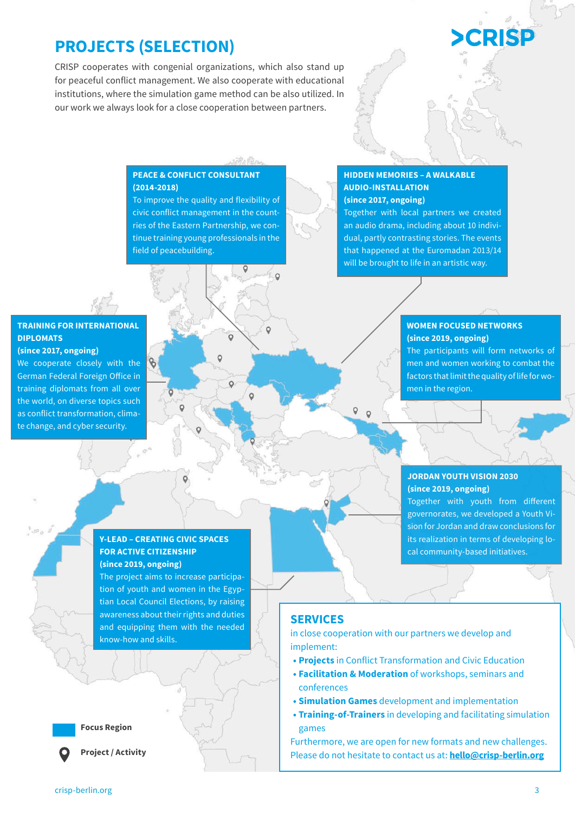### **PROJECTS (SELECTION)**

CRISP cooperates with congenial organizations, which also stand up for peaceful conflict management. We also cooperate with educational institutions, where the simulation game method can be also utilized. In our work we always look for a close cooperation between partners.

#### **PEACE & CONFLICT CONSULTANT (2014-2018)**

To improve the quality and flexibility of civic conflict management in the countries of the Eastern Partnership, we continue training young professionals in the field of peacebuilding.

 $\circ$ 

ö

 $\circ$ 

 $\circ$ 

 $\circ$ 

#### **HIDDEN MEMORIES – A WALKABLE AUDIO-INSTALLATION (since 2017, ongoing)**

Together with local partners we created an audio drama, including about 10 individual, partly contrasting stories. The events that happened at the Euromadan 2013/14 will be brought to life in an artistic way.

#### **TRAINING FOR INTERNATIONAL DIPLOMATS**

**(since 2017, ongoing)** We cooperate closely with the German Federal Foreign Office in training diplomats from all over the world, on diverse topics such as conflict transformation, climate change, and cyber security.

#### **WOMEN FOCUSED NETWORKS (since 2019, ongoing)**

The participants will form networks of men and women working to combat the factors that limit the quality of life for women in the region.

#### **JORDAN YOUTH VISION 2030 (since 2019, ongoing)**

Together with youth from different governorates, we developed a Youth Vision for Jordan and draw conclusions for its realization in terms of developing local community-based initiatives.

#### **Y-LEAD – CREATING CIVIC SPACES FOR ACTIVE CITIZENSHIP (since 2019, ongoing)**

The project aims to increase participation of youth and women in the Egyptian Local Council Elections, by raising awareness about their rights and duties and equipping them with the needed know-how and skills.

**Focus Region**



**Project / Activity**

# **SERVICES**

in close cooperation with our partners we develop and implement:

- **• Projects** in Conflict Transformation and Civic Education
- **• Facilitation & Moderation** of workshops, seminars and conferences
- **• Simulation Games** development and implementation
- **• Training-of-Trainers** in developing and facilitating simulation games

Furthermore, we are open for new formats and new challenges. Please do not hesitate to contact us at: **[hello@crisp-berlin.org](mailto:hello%40crisp-berlin.org?subject=Contact%20Request%3A%20)**